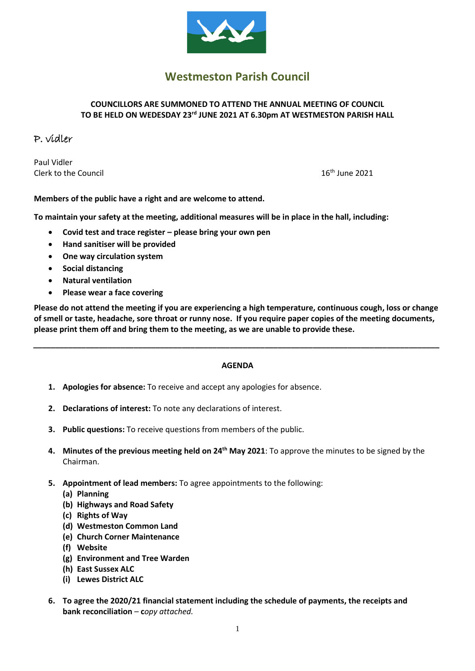

# **Westmeston Parish Council**

### **COUNCILLORS ARE SUMMONED TO ATTEND THE ANNUAL MEETING OF COUNCIL TO BE HELD ON WEDESDAY 23 rd JUNE 2021 AT 6.30pm AT WESTMESTON PARISH HALL**

## P. vidler

Paul Vidler Clerk to the Council 16

 $16<sup>th</sup>$  June 2021

**Members of the public have a right and are welcome to attend.**

**To maintain your safety at the meeting, additional measures will be in place in the hall, including:**

- **Covid test and trace register – please bring your own pen**
- **Hand sanitiser will be provided**
- **One way circulation system**
- **Social distancing**
- **Natural ventilation**
- **Please wear a face covering**

**Please do not attend the meeting if you are experiencing a high temperature, continuous cough, loss or change of smell or taste, headache, sore throat or runny nose. If you require paper copies of the meeting documents, please print them off and bring them to the meeting, as we are unable to provide these.**

#### **AGENDA**

*\_\_\_\_\_\_\_\_\_\_\_\_\_\_\_\_\_\_\_\_\_\_\_\_\_\_\_\_\_\_\_\_\_\_\_\_\_\_\_\_\_\_\_\_\_\_\_\_\_\_\_\_\_\_\_\_\_\_\_\_\_\_\_\_\_\_\_\_\_\_\_\_\_\_\_\_\_\_\_\_\_\_\_\_\_\_\_\_\_\_\_\_\_*

- **1. Apologies for absence:** To receive and accept any apologies for absence.
- **2. Declarations of interest:** To note any declarations of interest.
- **3. Public questions:** To receive questions from members of the public.
- **4. Minutes of the previous meeting held on 24th May 2021**: To approve the minutes to be signed by the Chairman.
- **5. Appointment of lead members:** To agree appointments to the following:
	- **(a) Planning**
	- **(b) Highways and Road Safety**
	- **(c) Rights of Way**
	- **(d) Westmeston Common Land**
	- **(e) Church Corner Maintenance**
	- **(f) Website**
	- **(g) Environment and Tree Warden**
	- **(h) East Sussex ALC**
	- **(i) Lewes District ALC**
- **6. To agree the 2020/21 financial statement including the schedule of payments, the receipts and bank reconciliation** – **c***opy attached.*